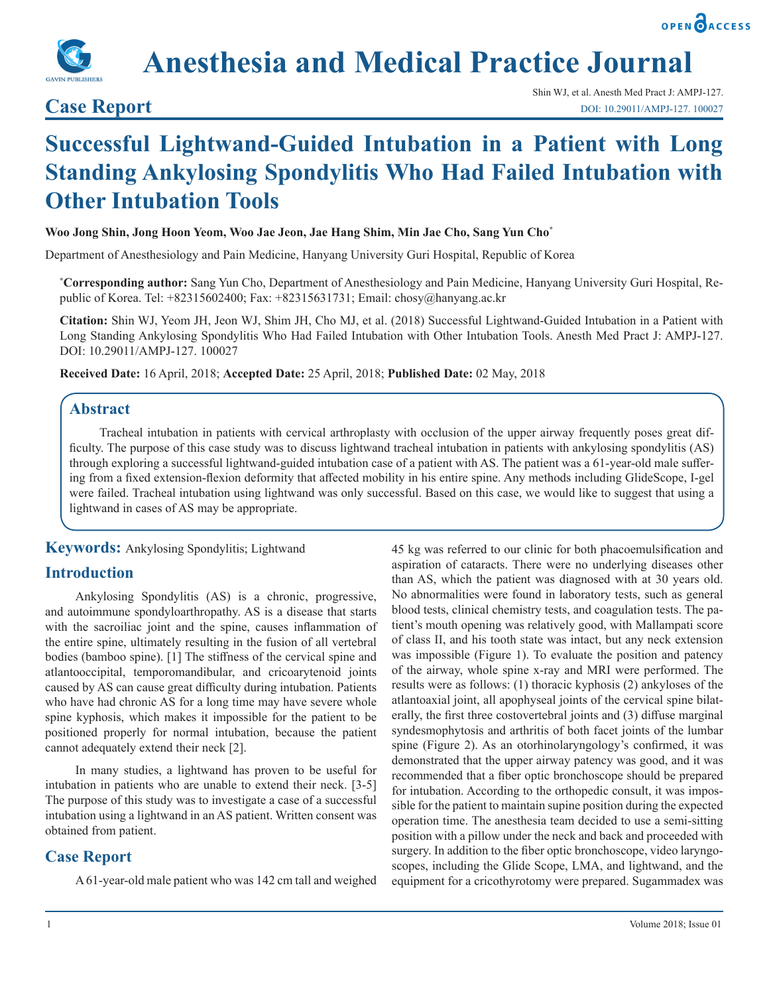



**Anesthesia and Medical Practice Journal**

# **Case Report**

# **Successful Lightwand-Guided Intubation in a Patient with Long Standing Ankylosing Spondylitis Who Had Failed Intubation with Other Intubation Tools**

#### **Woo Jong Shin, Jong Hoon Yeom, Woo Jae Jeon, Jae Hang Shim, Min Jae Cho, Sang Yun Cho\***

Department of Anesthesiology and Pain Medicine, Hanyang University Guri Hospital, Republic of Korea

**\* Corresponding author:** Sang Yun Cho, Department of Anesthesiology and Pain Medicine, Hanyang University Guri Hospital, Republic of Korea. Tel: +82315602400; Fax: +82315631731; Email: chosy@hanyang.ac.kr

**Citation:** Shin WJ, Yeom JH, Jeon WJ, Shim JH, Cho MJ, et al. (2018) Successful Lightwand-Guided Intubation in a Patient with Long Standing Ankylosing Spondylitis Who Had Failed Intubation with Other Intubation Tools. Anesth Med Pract J: AMPJ-127. DOI: 10.29011/AMPJ-127. 100027

**Received Date:** 16 April, 2018; **Accepted Date:** 25 April, 2018; **Published Date:** 02 May, 2018

### **Abstract**

Tracheal intubation in patients with cervical arthroplasty with occlusion of the upper airway frequently poses great difficulty. The purpose of this case study was to discuss lightwand tracheal intubation in patients with ankylosing spondylitis (AS) through exploring a successful lightwand-guided intubation case of a patient with AS. The patient was a 61-year-old male suffering from a fixed extension-flexion deformity that affected mobility in his entire spine. Any methods including GlideScope, I-gel were failed. Tracheal intubation using lightwand was only successful. Based on this case, we would like to suggest that using a lightwand in cases of AS may be appropriate.

#### **Keywords:** Ankylosing Spondylitis; Lightwand

#### **Introduction**

Ankylosing Spondylitis (AS) is a chronic, progressive, and autoimmune spondyloarthropathy. AS is a disease that starts with the sacroiliac joint and the spine, causes inflammation of the entire spine, ultimately resulting in the fusion of all vertebral bodies (bamboo spine). [1] The stiffness of the cervical spine and atlantooccipital, temporomandibular, and cricoarytenoid joints caused by AS can cause great difficulty during intubation. Patients who have had chronic AS for a long time may have severe whole spine kyphosis, which makes it impossible for the patient to be positioned properly for normal intubation, because the patient cannot adequately extend their neck [2].

In many studies, a lightwand has proven to be useful for intubation in patients who are unable to extend their neck. [3-5] The purpose of this study was to investigate a case of a successful intubation using a lightwand in an AS patient. Written consent was obtained from patient.

#### **Case Report**

A 61-year-old male patient who was 142 cm tall and weighed

45 kg was referred to our clinic for both phacoemulsification and aspiration of cataracts. There were no underlying diseases other than AS, which the patient was diagnosed with at 30 years old. No abnormalities were found in laboratory tests, such as general blood tests, clinical chemistry tests, and coagulation tests. The patient's mouth opening was relatively good, with Mallampati score of class II, and his tooth state was intact, but any neck extension was impossible (Figure 1). To evaluate the position and patency of the airway, whole spine x-ray and MRI were performed. The results were as follows: (1) thoracic kyphosis (2) ankyloses of the atlantoaxial joint, all apophyseal joints of the cervical spine bilaterally, the first three costovertebral joints and (3) diffuse marginal syndesmophytosis and arthritis of both facet joints of the lumbar spine (Figure 2). As an otorhinolaryngology's confirmed, it was demonstrated that the upper airway patency was good, and it was recommended that a fiber optic bronchoscope should be prepared for intubation. According to the orthopedic consult, it was impossible for the patient to maintain supine position during the expected operation time. The anesthesia team decided to use a semi-sitting position with a pillow under the neck and back and proceeded with surgery. In addition to the fiber optic bronchoscope, video laryngoscopes, including the Glide Scope, LMA, and lightwand, and the equipment for a cricothyrotomy were prepared. Sugammadex was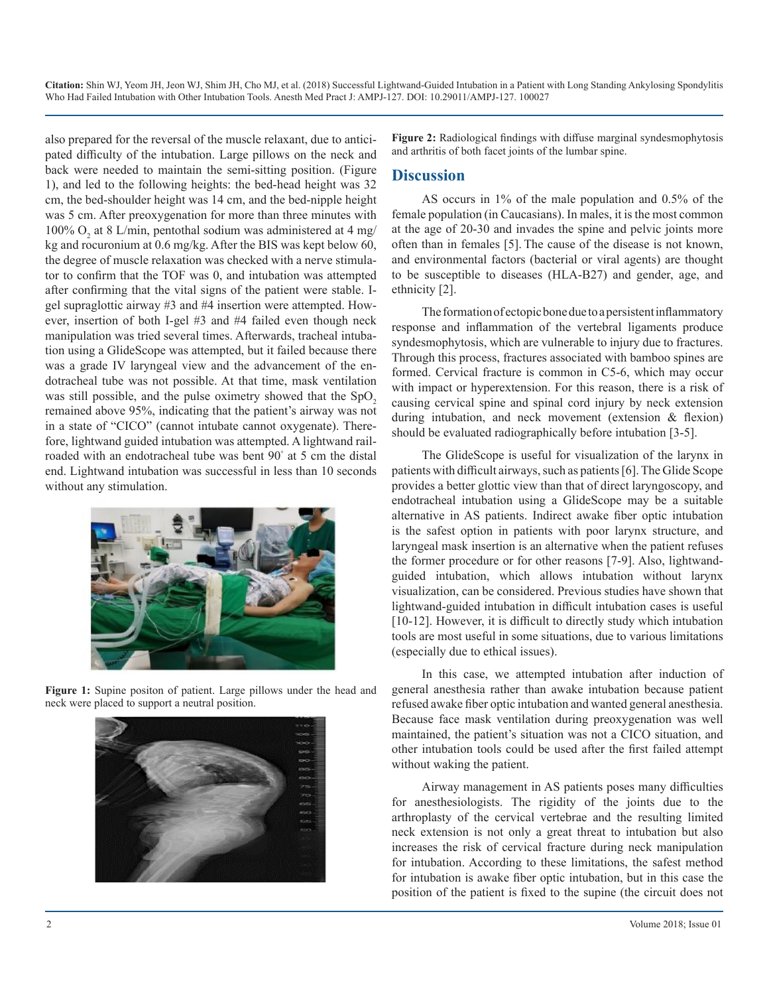**Citation:** Shin WJ, Yeom JH, Jeon WJ, Shim JH, Cho MJ, et al. (2018) Successful Lightwand-Guided Intubation in a Patient with Long Standing Ankylosing Spondylitis Who Had Failed Intubation with Other Intubation Tools. Anesth Med Pract J: AMPJ-127. DOI: 10.29011/AMPJ-127. 100027

also prepared for the reversal of the muscle relaxant, due to anticipated difficulty of the intubation. Large pillows on the neck and back were needed to maintain the semi-sitting position. (Figure 1), and led to the following heights: the bed-head height was 32 cm, the bed-shoulder height was 14 cm, and the bed-nipple height was 5 cm. After preoxygenation for more than three minutes with 100%  $O_2$  at 8 L/min, pentothal sodium was administered at 4 mg/ kg and rocuronium at 0.6 mg/kg. After the BIS was kept below 60, the degree of muscle relaxation was checked with a nerve stimulator to confirm that the TOF was 0, and intubation was attempted after confirming that the vital signs of the patient were stable. Igel supraglottic airway #3 and #4 insertion were attempted. However, insertion of both I-gel #3 and #4 failed even though neck manipulation was tried several times. Afterwards, tracheal intubation using a GlideScope was attempted, but it failed because there was a grade IV laryngeal view and the advancement of the endotracheal tube was not possible. At that time, mask ventilation was still possible, and the pulse oximetry showed that the  $SpO<sub>2</sub>$ remained above 95%, indicating that the patient's airway was not in a state of "CICO" (cannot intubate cannot oxygenate). Therefore, lightwand guided intubation was attempted. A lightwand railroaded with an endotracheal tube was bent 90° at 5 cm the distal end. Lightwand intubation was successful in less than 10 seconds without any stimulation.



**Figure 1:** Supine positon of patient. Large pillows under the head and neck were placed to support a neutral position.



**Figure 2:** Radiological findings with diffuse marginal syndesmophytosis and arthritis of both facet joints of the lumbar spine.

#### **Discussion**

AS occurs in 1% of the male population and 0.5% of the female population (in Caucasians). In males, it is the most common at the age of 20-30 and invades the spine and pelvic joints more often than in females [5]. The cause of the disease is not known, and environmental factors (bacterial or viral agents) are thought to be susceptible to diseases (HLA-B27) and gender, age, and ethnicity [2].

The formation of ectopic bone due to a persistent inflammatory response and inflammation of the vertebral ligaments produce syndesmophytosis, which are vulnerable to injury due to fractures. Through this process, fractures associated with bamboo spines are formed. Cervical fracture is common in C5-6, which may occur with impact or hyperextension. For this reason, there is a risk of causing cervical spine and spinal cord injury by neck extension during intubation, and neck movement (extension & flexion) should be evaluated radiographically before intubation [3-5].

The GlideScope is useful for visualization of the larynx in patients with difficult airways, such as patients [6]. The Glide Scope provides a better glottic view than that of direct laryngoscopy, and endotracheal intubation using a GlideScope may be a suitable alternative in AS patients. Indirect awake fiber optic intubation is the safest option in patients with poor larynx structure, and laryngeal mask insertion is an alternative when the patient refuses the former procedure or for other reasons [7-9]. Also, lightwandguided intubation, which allows intubation without larynx visualization, can be considered. Previous studies have shown that lightwand-guided intubation in difficult intubation cases is useful [10-12]. However, it is difficult to directly study which intubation tools are most useful in some situations, due to various limitations (especially due to ethical issues).

In this case, we attempted intubation after induction of general anesthesia rather than awake intubation because patient refused awake fiber optic intubation and wanted general anesthesia. Because face mask ventilation during preoxygenation was well maintained, the patient's situation was not a CICO situation, and other intubation tools could be used after the first failed attempt without waking the patient.

Airway management in AS patients poses many difficulties for anesthesiologists. The rigidity of the joints due to the arthroplasty of the cervical vertebrae and the resulting limited neck extension is not only a great threat to intubation but also increases the risk of cervical fracture during neck manipulation for intubation. According to these limitations, the safest method for intubation is awake fiber optic intubation, but in this case the position of the patient is fixed to the supine (the circuit does not